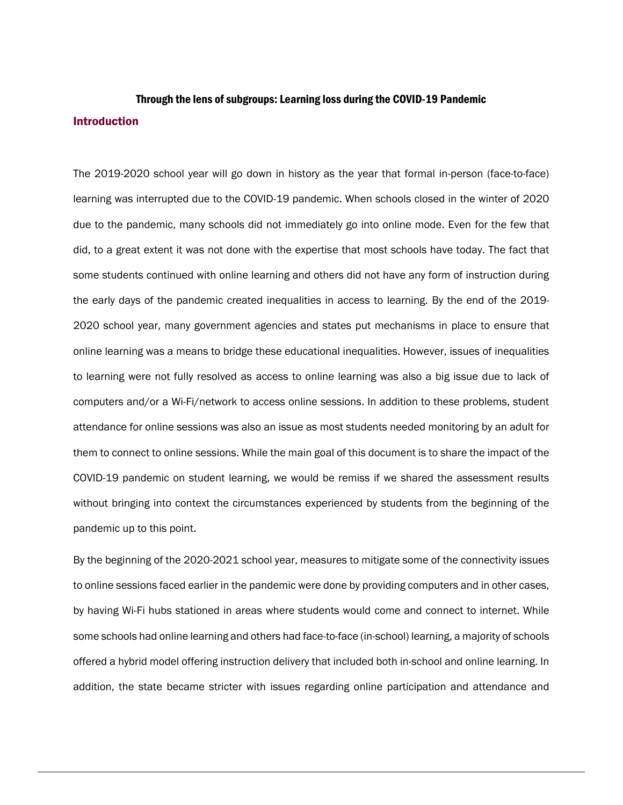## Through the lens of subgroups: Learning loss during the COVID-19 Pandemic **Introduction**

The 2019-2020 school year will go down in history as the year that formal in-person (face-to-face) learning was interrupted due to the COVID-19 pandemic. When schools closed in the winter of 2020 due to the pandemic, many schools did not immediately go into online mode. Even for the few that did, to a great extent it was not done with the expertise that most schools have today. The fact that some students continued with online learning and others did not have any form of instruction during the early days of the pandemic created inequalities in access to learning. By the end of the 2019- 2020 school year, many government agencies and states put mechanisms in place to ensure that online learning was a means to bridge these educational inequalities. However, issues of inequalities to learning were not fully resolved as access to online learning was also a big issue due to lack of computers and/or a Wi-Fi/network to access online sessions. In addition to these problems, student attendance for online sessions was also an issue as most students needed monitoring by an adult for them to connect to online sessions. While the main goal of this document is to share the impact of the COVID-19 pandemic on student learning, we would be remiss if we shared the assessment results without bringing into context the circumstances experienced by students from the beginning of the pandemic up to this point.

By the beginning of the 2020-2021 school year, measures to mitigate some of the connectivity issues to online sessions faced earlier in the pandemic were done by providing computers and in other cases, by having Wi-Fi hubs stationed in areas where students would come and connect to internet. While some schools had online learning and others had face-to-face (in-school) learning, a majority of schools offered a hybrid model offering instruction delivery that included both in-school and online learning. In addition, the state became stricter with issues regarding online participation and attendance and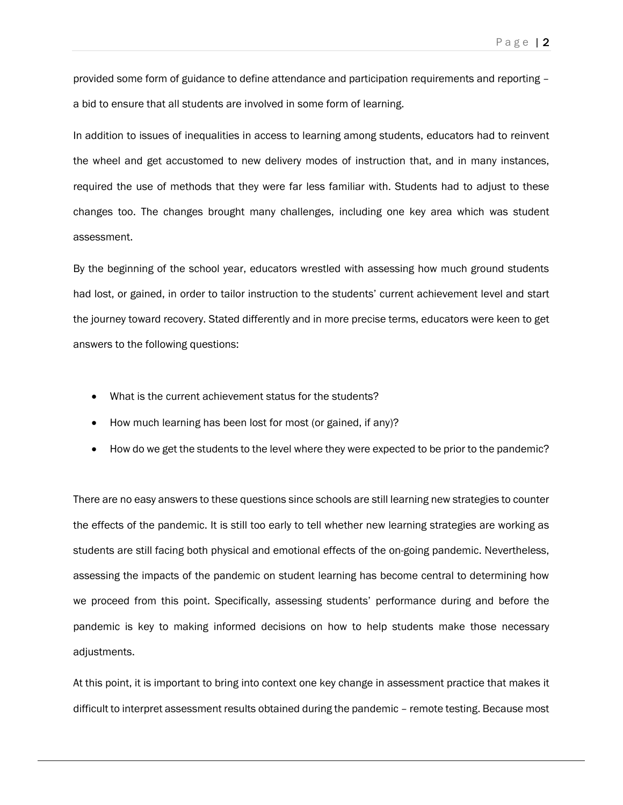provided some form of guidance to define attendance and participation requirements and reporting – a bid to ensure that all students are involved in some form of learning.

In addition to issues of inequalities in access to learning among students, educators had to reinvent the wheel and get accustomed to new delivery modes of instruction that, and in many instances, required the use of methods that they were far less familiar with. Students had to adjust to these changes too. The changes brought many challenges, including one key area which was student assessment.

By the beginning of the school year, educators wrestled with assessing how much ground students had lost, or gained, in order to tailor instruction to the students' current achievement level and start the journey toward recovery. Stated differently and in more precise terms, educators were keen to get answers to the following questions:

- What is the current achievement status for the students?
- How much learning has been lost for most (or gained, if any)?
- How do we get the students to the level where they were expected to be prior to the pandemic?

There are no easy answers to these questions since schools are still learning new strategies to counter the effects of the pandemic. It is still too early to tell whether new learning strategies are working as students are still facing both physical and emotional effects of the on-going pandemic. Nevertheless, assessing the impacts of the pandemic on student learning has become central to determining how we proceed from this point. Specifically, assessing students' performance during and before the pandemic is key to making informed decisions on how to help students make those necessary adjustments.

At this point, it is important to bring into context one key change in assessment practice that makes it difficult to interpret assessment results obtained during the pandemic – remote testing. Because most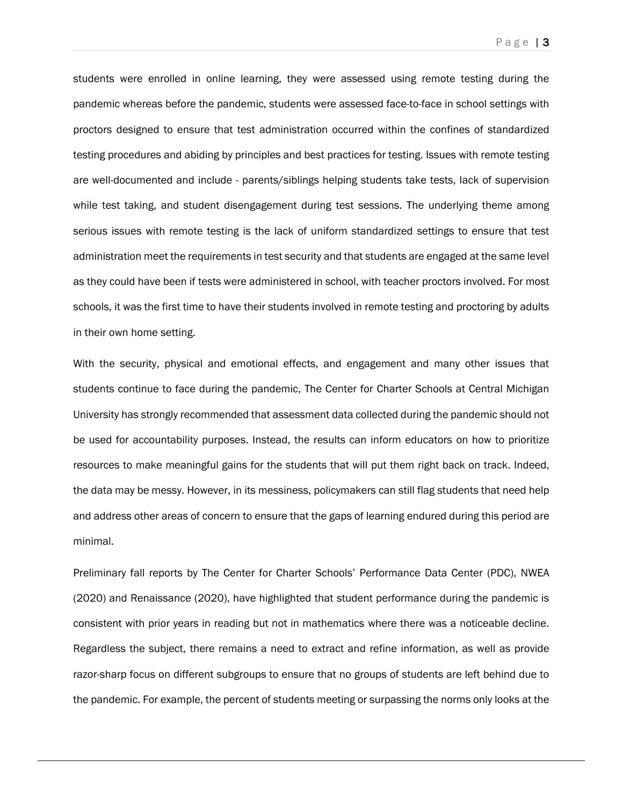Page | **3** 

students were enrolled in online learning, they were assessed using remote testing during the pandemic whereas before the pandemic, students were assessed face-to-face in school settings with proctors designed to ensure that test administration occurred within the confines of standardized testing procedures and abiding by principles and best practices for testing. Issues with remote testing are well-documented and include - parents/siblings helping students take tests, lack of supervision while test taking, and student disengagement during test sessions. The underlying theme among serious issues with remote testing is the lack of uniform standardized settings to ensure that test administration meet the requirements in test security and that students are engaged at the same level as they could have been if tests were administered in school, with teacher proctors involved. For most schools, it was the first time to have their students involved in remote testing and proctoring by adults in their own home setting.

With the security, physical and emotional effects, and engagement and many other issues that students continue to face during the pandemic, The Center for Charter Schools at Central Michigan University has strongly recommended that assessment data collected during the pandemic should not be used for accountability purposes. Instead, the results can inform educators on how to prioritize resources to make meaningful gains for the students that will put them right back on track. Indeed, the data may be messy. However, in its messiness, policymakers can still flag students that need help and address other areas of concern to ensure that the gaps of learning endured during this period are minimal.

Preliminary fall reports by The Center for Charter Schools' Performance Data Center (PDC), NWEA (2020) and Renaissance (2020), have highlighted that student performance during the pandemic is consistent with prior years in reading but not in mathematics where there was a noticeable decline. Regardless the subject, there remains a need to extract and refine information, as well as provide razor-sharp focus on different subgroups to ensure that no groups of students are left behind due to the pandemic. For example, the percent of students meeting or surpassing the norms only looks at the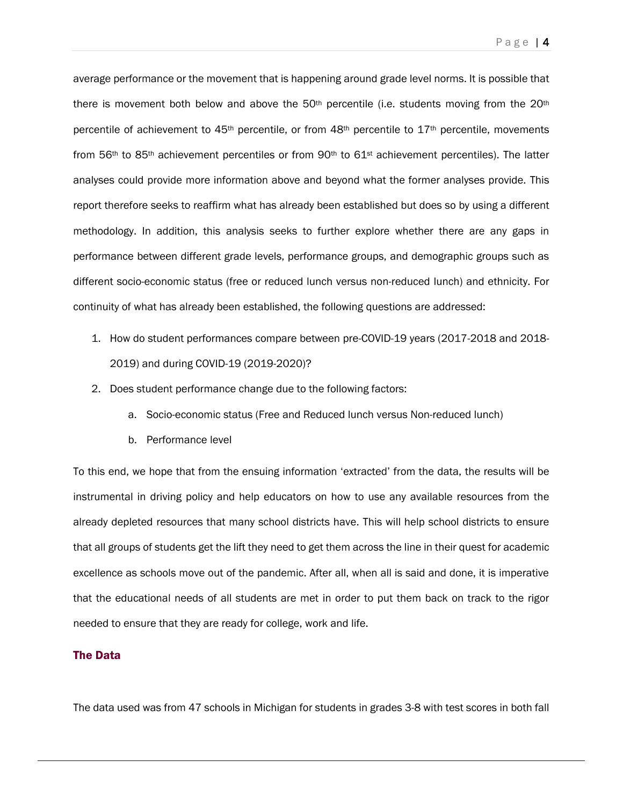average performance or the movement that is happening around grade level norms. It is possible that there is movement both below and above the  $50<sup>th</sup>$  percentile (i.e. students moving from the  $20<sup>th</sup>$ percentile of achievement to 45th percentile, or from 48th percentile to 17th percentile, movements from 56<sup>th</sup> to 85<sup>th</sup> achievement percentiles or from 90<sup>th</sup> to 61<sup>st</sup> achievement percentiles). The latter analyses could provide more information above and beyond what the former analyses provide. This report therefore seeks to reaffirm what has already been established but does so by using a different methodology. In addition, this analysis seeks to further explore whether there are any gaps in performance between different grade levels, performance groups, and demographic groups such as

different socio-economic status (free or reduced lunch versus non-reduced lunch) and ethnicity. For continuity of what has already been established, the following questions are addressed:

- 1. How do student performances compare between pre-COVID-19 years (2017-2018 and 2018- 2019) and during COVID-19 (2019-2020)?
- 2. Does student performance change due to the following factors:
	- a. Socio-economic status (Free and Reduced lunch versus Non-reduced lunch)
	- b. Performance level

To this end, we hope that from the ensuing information 'extracted' from the data, the results will be instrumental in driving policy and help educators on how to use any available resources from the already depleted resources that many school districts have. This will help school districts to ensure that all groups of students get the lift they need to get them across the line in their quest for academic excellence as schools move out of the pandemic. After all, when all is said and done, it is imperative that the educational needs of all students are met in order to put them back on track to the rigor needed to ensure that they are ready for college, work and life.

### The Data

The data used was from 47 schools in Michigan for students in grades 3-8 with test scores in both fall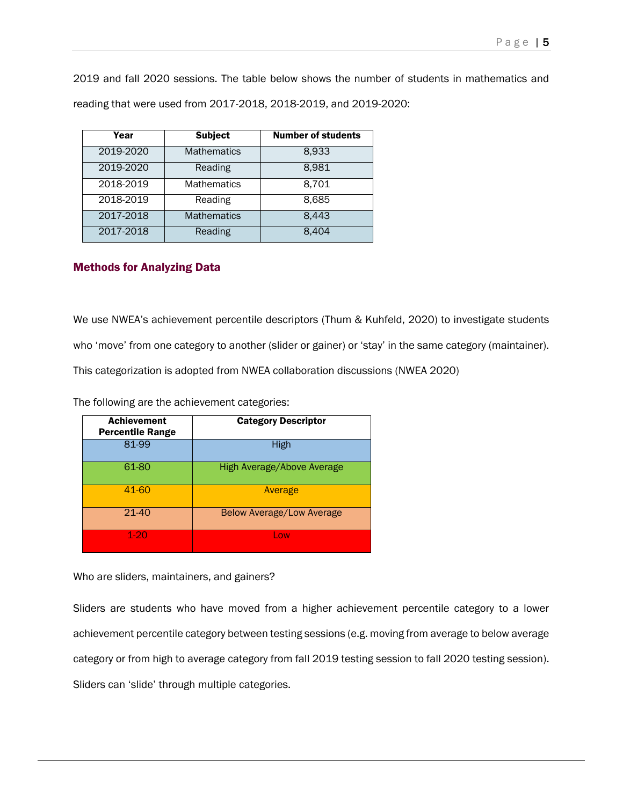2019 and fall 2020 sessions. The table below shows the number of students in mathematics and reading that were used from 2017-2018, 2018-2019, and 2019-2020:

| Year      | <b>Subject</b>     | <b>Number of students</b> |
|-----------|--------------------|---------------------------|
| 2019-2020 | <b>Mathematics</b> | 8,933                     |
| 2019-2020 | Reading            | 8,981                     |
| 2018-2019 | <b>Mathematics</b> | 8.701                     |
| 2018-2019 | Reading            | 8,685                     |
| 2017-2018 | <b>Mathematics</b> | 8,443                     |
| 2017-2018 | Reading            | 8,404                     |

### Methods for Analyzing Data

We use NWEA's achievement percentile descriptors (Thum & Kuhfeld, 2020) to investigate students who 'move' from one category to another (slider or gainer) or 'stay' in the same category (maintainer). This categorization is adopted from NWEA collaboration discussions (NWEA 2020)

The following are the achievement categories:

| <b>Achievement</b><br><b>Percentile Range</b> | <b>Category Descriptor</b> |
|-----------------------------------------------|----------------------------|
| 81-99                                         | High                       |
| 61-80                                         | High Average/Above Average |
| 41-60                                         | Average                    |
| 21-40                                         | Below Average/Low Average  |
| $1-20$                                        | Low.                       |

Who are sliders, maintainers, and gainers?

Sliders are students who have moved from a higher achievement percentile category to a lower achievement percentile category between testing sessions (e.g. moving from average to below average category or from high to average category from fall 2019 testing session to fall 2020 testing session). Sliders can 'slide' through multiple categories.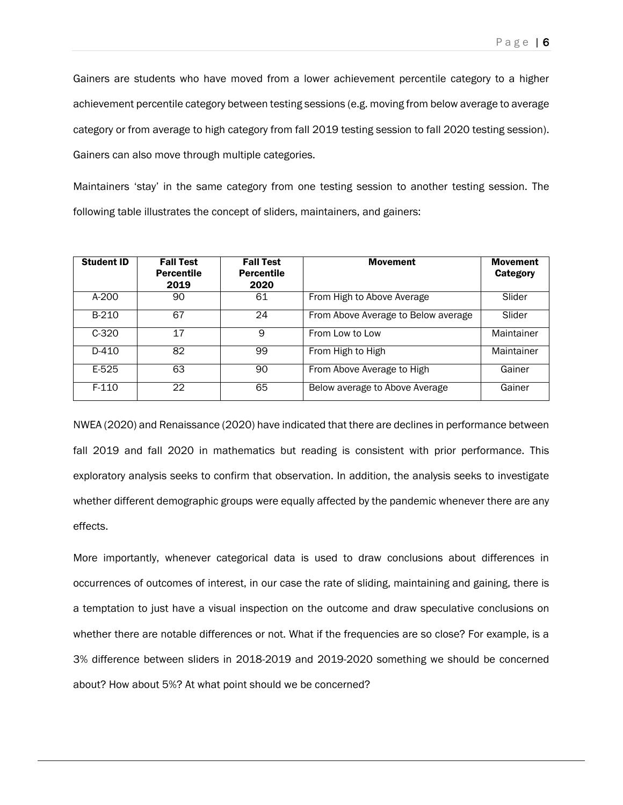Gainers are students who have moved from a lower achievement percentile category to a higher achievement percentile category between testing sessions (e.g. moving from below average to average category or from average to high category from fall 2019 testing session to fall 2020 testing session). Gainers can also move through multiple categories.

Maintainers 'stay' in the same category from one testing session to another testing session. The following table illustrates the concept of sliders, maintainers, and gainers:

| <b>Student ID</b> | <b>Fall Test</b><br><b>Percentile</b><br>2019 | <b>Fall Test</b><br><b>Percentile</b><br>2020 | <b>Movement</b>                     | <b>Movement</b><br>Category |
|-------------------|-----------------------------------------------|-----------------------------------------------|-------------------------------------|-----------------------------|
| $A-200$           | 90                                            | 61                                            | From High to Above Average          | Slider                      |
| B-210             | 67                                            | 24                                            | From Above Average to Below average | Slider                      |
| $C-320$           | 17                                            | 9                                             | From Low to Low                     | Maintainer                  |
| D-410             | 82                                            | 99                                            | From High to High                   | Maintainer                  |
| E-525             | 63                                            | 90                                            | From Above Average to High          | Gainer                      |
| $F-110$           | 22                                            | 65                                            | Below average to Above Average      | Gainer                      |

NWEA (2020) and Renaissance (2020) have indicated that there are declines in performance between fall 2019 and fall 2020 in mathematics but reading is consistent with prior performance. This exploratory analysis seeks to confirm that observation. In addition, the analysis seeks to investigate whether different demographic groups were equally affected by the pandemic whenever there are any effects.

More importantly, whenever categorical data is used to draw conclusions about differences in occurrences of outcomes of interest, in our case the rate of sliding, maintaining and gaining, there is a temptation to just have a visual inspection on the outcome and draw speculative conclusions on whether there are notable differences or not. What if the frequencies are so close? For example, is a 3% difference between sliders in 2018-2019 and 2019-2020 something we should be concerned about? How about 5%? At what point should we be concerned?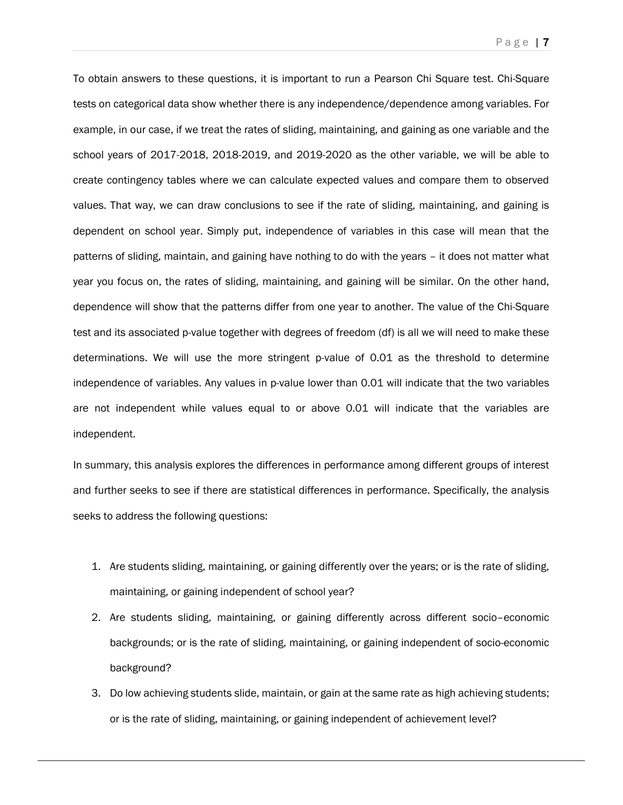To obtain answers to these questions, it is important to run a Pearson Chi Square test. Chi-Square tests on categorical data show whether there is any independence/dependence among variables. For example, in our case, if we treat the rates of sliding, maintaining, and gaining as one variable and the school years of 2017-2018, 2018-2019, and 2019-2020 as the other variable, we will be able to create contingency tables where we can calculate expected values and compare them to observed values. That way, we can draw conclusions to see if the rate of sliding, maintaining, and gaining is dependent on school year. Simply put, independence of variables in this case will mean that the patterns of sliding, maintain, and gaining have nothing to do with the years – it does not matter what year you focus on, the rates of sliding, maintaining, and gaining will be similar. On the other hand, dependence will show that the patterns differ from one year to another. The value of the Chi-Square test and its associated p-value together with degrees of freedom (df) is all we will need to make these determinations. We will use the more stringent p-value of 0.01 as the threshold to determine independence of variables. Any values in p-value lower than 0.01 will indicate that the two variables are not independent while values equal to or above 0.01 will indicate that the variables are independent.

In summary, this analysis explores the differences in performance among different groups of interest and further seeks to see if there are statistical differences in performance. Specifically, the analysis seeks to address the following questions:

- 1. Are students sliding, maintaining, or gaining differently over the years; or is the rate of sliding, maintaining, or gaining independent of school year?
- 2. Are students sliding, maintaining, or gaining differently across different socio–economic backgrounds; or is the rate of sliding, maintaining, or gaining independent of socio-economic background?
- 3. Do low achieving students slide, maintain, or gain at the same rate as high achieving students; or is the rate of sliding, maintaining, or gaining independent of achievement level?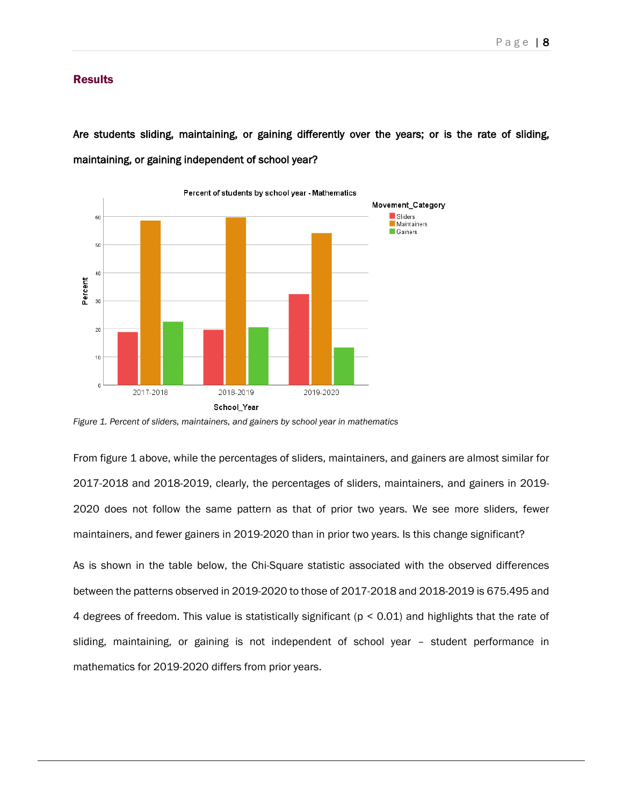#### **Results**

Are students sliding, maintaining, or gaining differently over the years; or is the rate of sliding, maintaining, or gaining independent of school year?



*Figure 1. Percent of sliders, maintainers, and gainers by school year in mathematics*

From figure 1 above, while the percentages of sliders, maintainers, and gainers are almost similar for 2017-2018 and 2018-2019, clearly, the percentages of sliders, maintainers, and gainers in 2019- 2020 does not follow the same pattern as that of prior two years. We see more sliders, fewer maintainers, and fewer gainers in 2019-2020 than in prior two years. Is this change significant?

As is shown in the table below, the Chi-Square statistic associated with the observed differences between the patterns observed in 2019-2020 to those of 2017-2018 and 2018-2019 is 675.495 and 4 degrees of freedom. This value is statistically significant (p < 0.01) and highlights that the rate of sliding, maintaining, or gaining is not independent of school year – student performance in mathematics for 2019-2020 differs from prior years.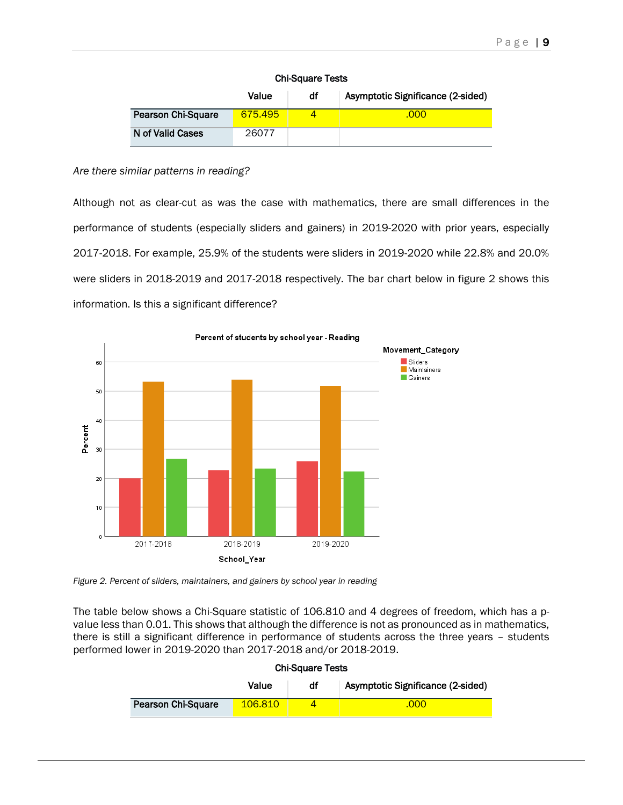| <b>Chi-Square Tests</b> |  |
|-------------------------|--|
|-------------------------|--|

|                           | Value   | df | Asymptotic Significance (2-sided) |
|---------------------------|---------|----|-----------------------------------|
| <b>Pearson Chi-Square</b> | 675.495 |    | .000                              |
| N of Valid Cases          | 26077   |    |                                   |

#### *Are there similar patterns in reading?*

Although not as clear-cut as was the case with mathematics, there are small differences in the performance of students (especially sliders and gainers) in 2019-2020 with prior years, especially 2017-2018. For example, 25.9% of the students were sliders in 2019-2020 while 22.8% and 20.0% were sliders in 2018-2019 and 2017-2018 respectively. The bar chart below in figure 2 shows this information. Is this a significant difference?



*Figure 2. Percent of sliders, maintainers, and gainers by school year in reading*

The table below shows a Chi-Square statistic of 106.810 and 4 degrees of freedom, which has a pvalue less than 0.01. This shows that although the difference is not as pronounced as in mathematics, there is still a significant difference in performance of students across the three years – students performed lower in 2019-2020 than 2017-2018 and/or 2018-2019.

|                           | Value   | df | Asymptotic Significance (2-sided) |
|---------------------------|---------|----|-----------------------------------|
| <b>Pearson Chi-Square</b> | 106,810 |    | .000                              |

#### Chi-Square Tests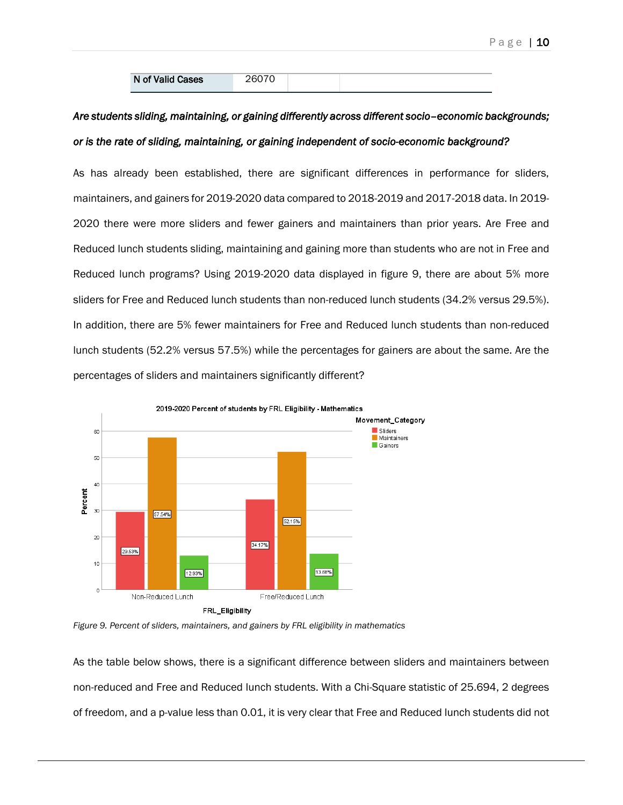# *Are students sliding, maintaining, or gaining differently across different socio–economic backgrounds; or is the rate of sliding, maintaining, or gaining independent of socio-economic background?*

As has already been established, there are significant differences in performance for sliders, maintainers, and gainers for 2019-2020 data compared to 2018-2019 and 2017-2018 data. In 2019- 2020 there were more sliders and fewer gainers and maintainers than prior years. Are Free and Reduced lunch students sliding, maintaining and gaining more than students who are not in Free and Reduced lunch programs? Using 2019-2020 data displayed in figure 9, there are about 5% more sliders for Free and Reduced lunch students than non-reduced lunch students (34.2% versus 29.5%). In addition, there are 5% fewer maintainers for Free and Reduced lunch students than non-reduced lunch students (52.2% versus 57.5%) while the percentages for gainers are about the same. Are the percentages of sliders and maintainers significantly different?



*Figure 9. Percent of sliders, maintainers, and gainers by FRL eligibility in mathematics*

As the table below shows, there is a significant difference between sliders and maintainers between non-reduced and Free and Reduced lunch students. With a Chi-Square statistic of 25.694, 2 degrees of freedom, and a p-value less than 0.01, it is very clear that Free and Reduced lunch students did not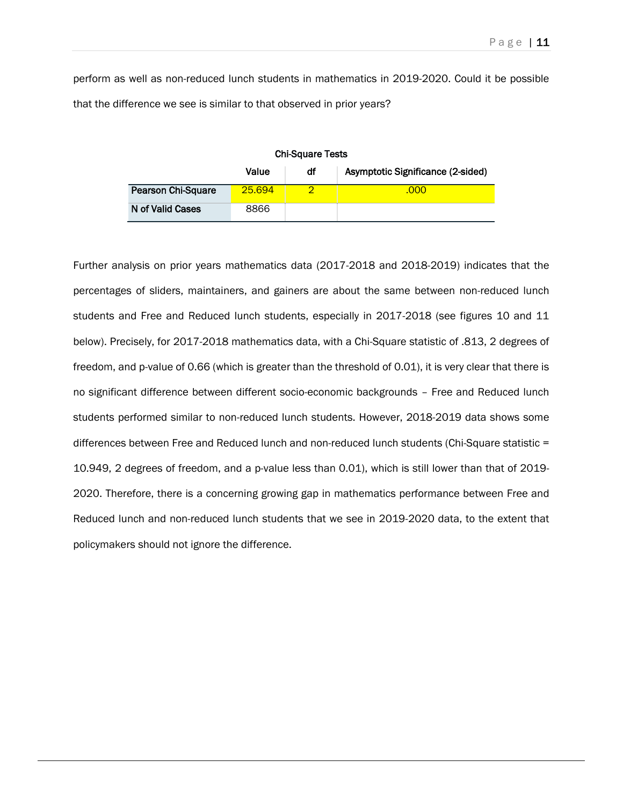perform as well as non-reduced lunch students in mathematics in 2019-2020. Could it be possible that the difference we see is similar to that observed in prior years?

| <b>Chi-Square Tests</b>                          |        |   |      |  |  |
|--------------------------------------------------|--------|---|------|--|--|
| Asymptotic Significance (2-sided)<br>Value<br>df |        |   |      |  |  |
| <b>Pearson Chi-Square</b>                        | 25.694 | ာ | .000 |  |  |
| N of Valid Cases                                 | 8866   |   |      |  |  |

Further analysis on prior years mathematics data (2017-2018 and 2018-2019) indicates that the percentages of sliders, maintainers, and gainers are about the same between non-reduced lunch students and Free and Reduced lunch students, especially in 2017-2018 (see figures 10 and 11 below). Precisely, for 2017-2018 mathematics data, with a Chi-Square statistic of .813, 2 degrees of freedom, and p-value of 0.66 (which is greater than the threshold of 0.01), it is very clear that there is no significant difference between different socio-economic backgrounds – Free and Reduced lunch students performed similar to non-reduced lunch students. However, 2018-2019 data shows some differences between Free and Reduced lunch and non-reduced lunch students (Chi-Square statistic = 10.949, 2 degrees of freedom, and a p-value less than 0.01), which is still lower than that of 2019- 2020. Therefore, there is a concerning growing gap in mathematics performance between Free and Reduced lunch and non-reduced lunch students that we see in 2019-2020 data, to the extent that policymakers should not ignore the difference.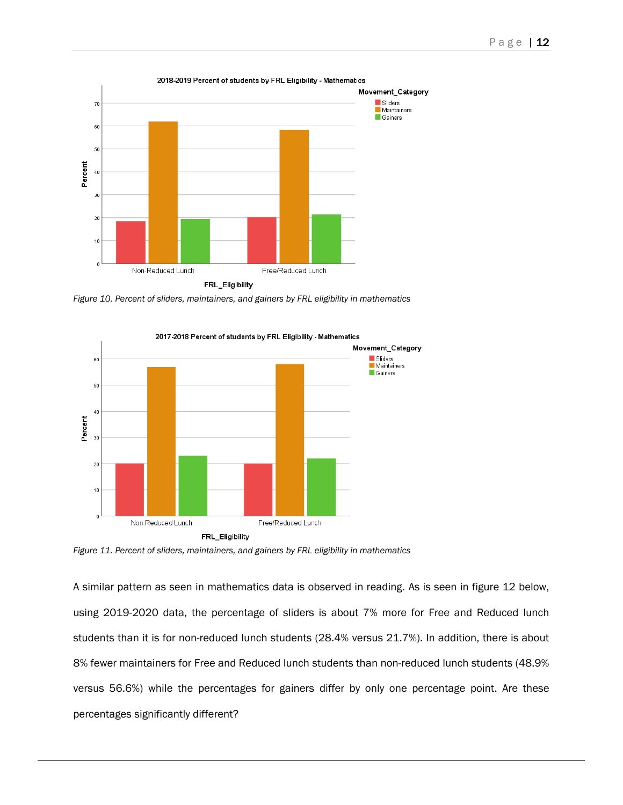

*Figure 10. Percent of sliders, maintainers, and gainers by FRL eligibility in mathematics*



*Figure 11. Percent of sliders, maintainers, and gainers by FRL eligibility in mathematics*

A similar pattern as seen in mathematics data is observed in reading. As is seen in figure 12 below, using 2019-2020 data, the percentage of sliders is about 7% more for Free and Reduced lunch students than it is for non-reduced lunch students (28.4% versus 21.7%). In addition, there is about 8% fewer maintainers for Free and Reduced lunch students than non-reduced lunch students (48.9% versus 56.6%) while the percentages for gainers differ by only one percentage point. Are these percentages significantly different?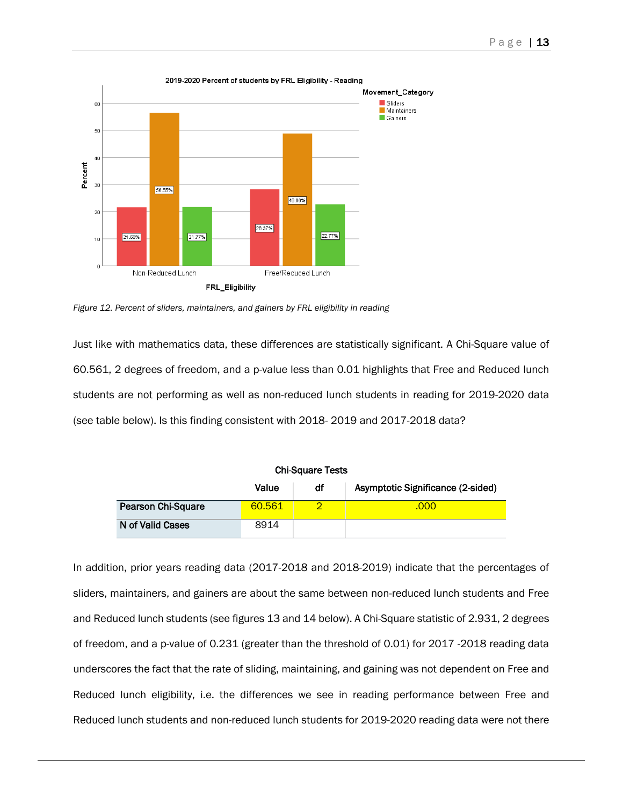

*Figure 12. Percent of sliders, maintainers, and gainers by FRL eligibility in reading*

Just like with mathematics data, these differences are statistically significant. A Chi-Square value of 60.561, 2 degrees of freedom, and a p-value less than 0.01 highlights that Free and Reduced lunch students are not performing as well as non-reduced lunch students in reading for 2019-2020 data (see table below). Is this finding consistent with 2018- 2019 and 2017-2018 data?

| <b>Chi-Square Tests</b>                          |        |  |      |  |  |
|--------------------------------------------------|--------|--|------|--|--|
| Asymptotic Significance (2-sided)<br>Value<br>df |        |  |      |  |  |
| Pearson Chi-Square                               | 60.561 |  | .000 |  |  |
| N of Valid Cases                                 | 8914   |  |      |  |  |

In addition, prior years reading data (2017-2018 and 2018-2019) indicate that the percentages of sliders, maintainers, and gainers are about the same between non-reduced lunch students and Free and Reduced lunch students (see figures 13 and 14 below). A Chi-Square statistic of 2.931, 2 degrees of freedom, and a p-value of 0.231 (greater than the threshold of 0.01) for 2017 -2018 reading data underscores the fact that the rate of sliding, maintaining, and gaining was not dependent on Free and Reduced lunch eligibility, i.e. the differences we see in reading performance between Free and Reduced lunch students and non-reduced lunch students for 2019-2020 reading data were not there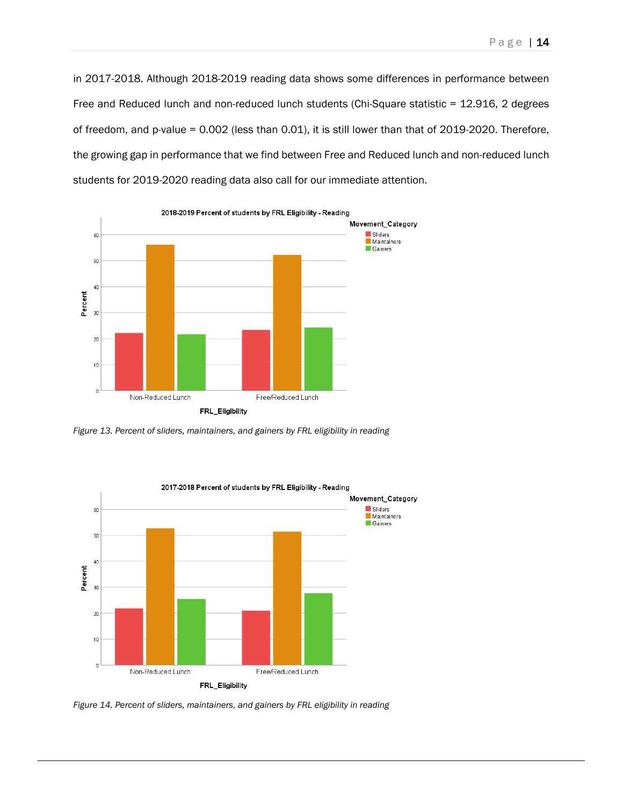in 2017-2018. Although 2018-2019 reading data shows some differences in performance between Free and Reduced lunch and non-reduced lunch students (Chi-Square statistic = 12.916, 2 degrees of freedom, and p-value = 0.002 (less than 0.01), it is still lower than that of 2019-2020. Therefore, the growing gap in performance that we find between Free and Reduced lunch and non-reduced lunch



students for 2019-2020 reading data also call for our immediate attention.

*Figure 13. Percent of sliders, maintainers, and gainers by FRL eligibility in reading*



*Figure 14. Percent of sliders, maintainers, and gainers by FRL eligibility in reading*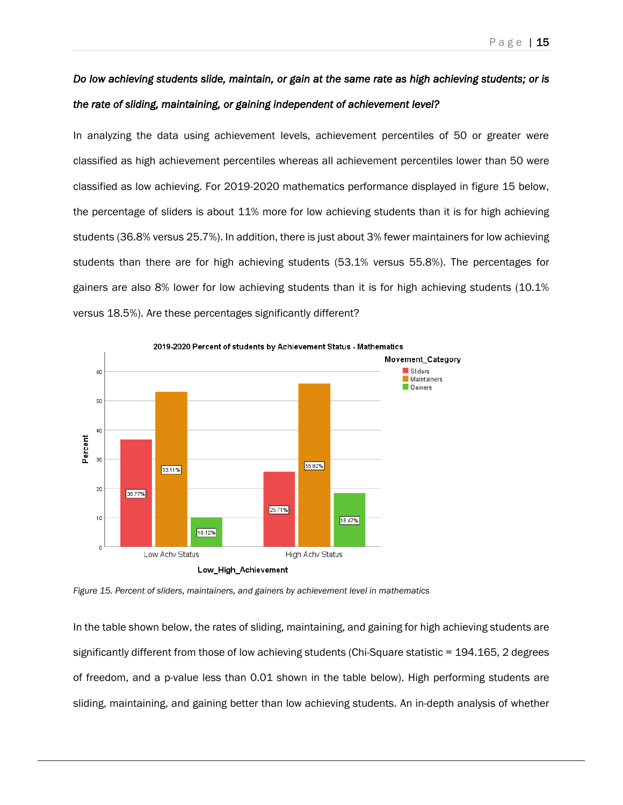# *Do low achieving students slide, maintain, or gain at the same rate as high achieving students; or is the rate of sliding, maintaining, or gaining independent of achievement level?*

In analyzing the data using achievement levels, achievement percentiles of 50 or greater were classified as high achievement percentiles whereas all achievement percentiles lower than 50 were classified as low achieving. For 2019-2020 mathematics performance displayed in figure 15 below, the percentage of sliders is about 11% more for low achieving students than it is for high achieving students (36.8% versus 25.7%). In addition, there is just about 3% fewer maintainers for low achieving students than there are for high achieving students (53.1% versus 55.8%). The percentages for gainers are also 8% lower for low achieving students than it is for high achieving students (10.1% versus 18.5%). Are these percentages significantly different?



*Figure 15. Percent of sliders, maintainers, and gainers by achievement level in mathematics*

In the table shown below, the rates of sliding, maintaining, and gaining for high achieving students are significantly different from those of low achieving students (Chi-Square statistic = 194.165, 2 degrees of freedom, and a p-value less than 0.01 shown in the table below). High performing students are sliding, maintaining, and gaining better than low achieving students. An in-depth analysis of whether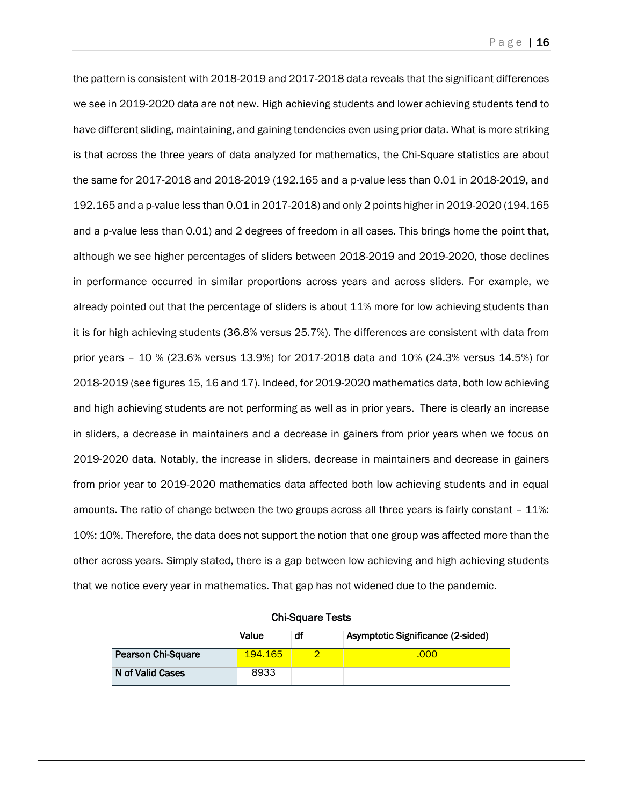the pattern is consistent with 2018-2019 and 2017-2018 data reveals that the significant differences we see in 2019-2020 data are not new. High achieving students and lower achieving students tend to have different sliding, maintaining, and gaining tendencies even using prior data. What is more striking is that across the three years of data analyzed for mathematics, the Chi-Square statistics are about the same for 2017-2018 and 2018-2019 (192.165 and a p-value less than 0.01 in 2018-2019, and 192.165 and a p-value less than 0.01 in 2017-2018) and only 2 points higher in 2019-2020 (194.165 and a p-value less than 0.01) and 2 degrees of freedom in all cases. This brings home the point that, although we see higher percentages of sliders between 2018-2019 and 2019-2020, those declines in performance occurred in similar proportions across years and across sliders. For example, we already pointed out that the percentage of sliders is about 11% more for low achieving students than it is for high achieving students (36.8% versus 25.7%). The differences are consistent with data from prior years – 10 % (23.6% versus 13.9%) for 2017-2018 data and 10% (24.3% versus 14.5%) for 2018-2019 (see figures 15, 16 and 17). Indeed, for 2019-2020 mathematics data, both low achieving and high achieving students are not performing as well as in prior years. There is clearly an increase in sliders, a decrease in maintainers and a decrease in gainers from prior years when we focus on 2019-2020 data. Notably, the increase in sliders, decrease in maintainers and decrease in gainers from prior year to 2019-2020 mathematics data affected both low achieving students and in equal amounts. The ratio of change between the two groups across all three years is fairly constant – 11%: 10%: 10%. Therefore, the data does not support the notion that one group was affected more than the other across years. Simply stated, there is a gap between low achieving and high achieving students that we notice every year in mathematics. That gap has not widened due to the pandemic.

|                    | Value   | df | Asymptotic Significance (2-sided) |
|--------------------|---------|----|-----------------------------------|
| Pearson Chi-Square | 194.165 |    | .000                              |
| N of Valid Cases   | 8933    |    |                                   |

Chi-Square Tests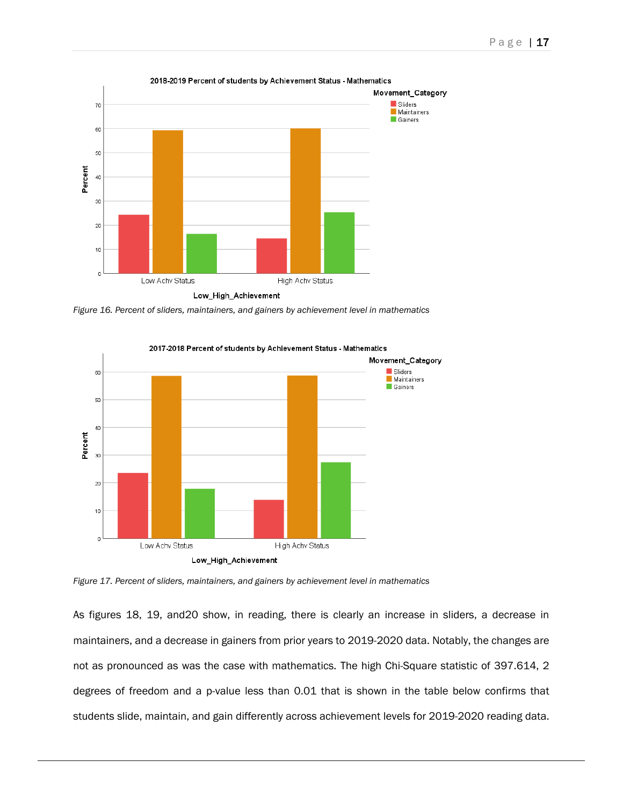

*Figure 16. Percent of sliders, maintainers, and gainers by achievement level in mathematics*



*Figure 17. Percent of sliders, maintainers, and gainers by achievement level in mathematics*

As figures 18, 19, and20 show, in reading, there is clearly an increase in sliders, a decrease in maintainers, and a decrease in gainers from prior years to 2019-2020 data. Notably, the changes are not as pronounced as was the case with mathematics. The high Chi-Square statistic of 397.614, 2 degrees of freedom and a p-value less than 0.01 that is shown in the table below confirms that students slide, maintain, and gain differently across achievement levels for 2019-2020 reading data.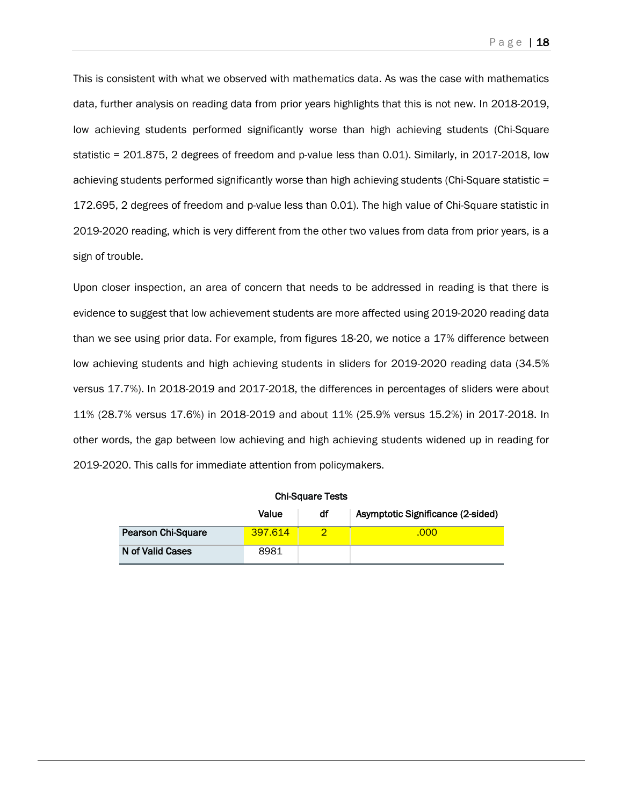This is consistent with what we observed with mathematics data. As was the case with mathematics data, further analysis on reading data from prior years highlights that this is not new. In 2018-2019, low achieving students performed significantly worse than high achieving students (Chi-Square statistic = 201.875, 2 degrees of freedom and p-value less than 0.01). Similarly, in 2017-2018, low achieving students performed significantly worse than high achieving students (Chi-Square statistic = 172.695, 2 degrees of freedom and p-value less than 0.01). The high value of Chi-Square statistic in 2019-2020 reading, which is very different from the other two values from data from prior years, is a sign of trouble.

Upon closer inspection, an area of concern that needs to be addressed in reading is that there is evidence to suggest that low achievement students are more affected using 2019-2020 reading data than we see using prior data. For example, from figures 18-20, we notice a 17% difference between low achieving students and high achieving students in sliders for 2019-2020 reading data (34.5% versus 17.7%). In 2018-2019 and 2017-2018, the differences in percentages of sliders were about 11% (28.7% versus 17.6%) in 2018-2019 and about 11% (25.9% versus 15.2%) in 2017-2018. In other words, the gap between low achieving and high achieving students widened up in reading for 2019-2020. This calls for immediate attention from policymakers.

| <b>Chi-Square Tests</b>   |         |    |                                   |  |
|---------------------------|---------|----|-----------------------------------|--|
|                           | Value   | df | Asymptotic Significance (2-sided) |  |
| <b>Pearson Chi-Square</b> | 397.614 |    | .000                              |  |
| N of Valid Cases          | 8981    |    |                                   |  |

Chi-Square Tests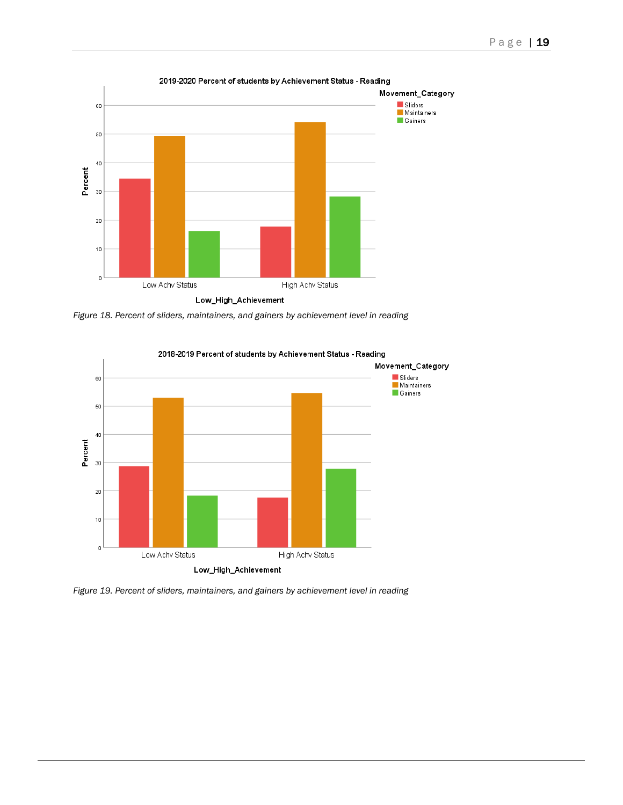

*Figure 18. Percent of sliders, maintainers, and gainers by achievement level in reading*



*Figure 19. Percent of sliders, maintainers, and gainers by achievement level in reading*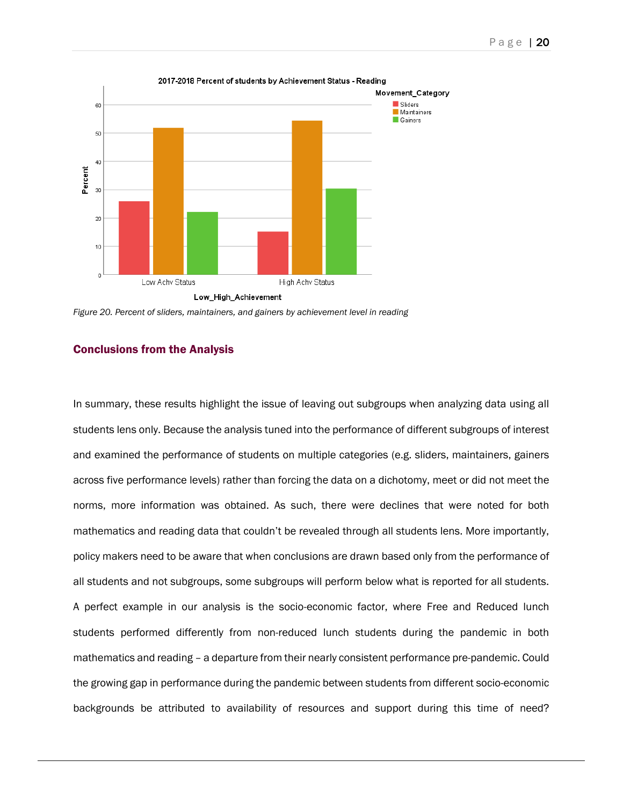

Low\_High\_Achievement

*Figure 20. Percent of sliders, maintainers, and gainers by achievement level in reading*

#### Conclusions from the Analysis

In summary, these results highlight the issue of leaving out subgroups when analyzing data using all students lens only. Because the analysis tuned into the performance of different subgroups of interest and examined the performance of students on multiple categories (e.g. sliders, maintainers, gainers across five performance levels) rather than forcing the data on a dichotomy, meet or did not meet the norms, more information was obtained. As such, there were declines that were noted for both mathematics and reading data that couldn't be revealed through all students lens. More importantly, policy makers need to be aware that when conclusions are drawn based only from the performance of all students and not subgroups, some subgroups will perform below what is reported for all students. A perfect example in our analysis is the socio-economic factor, where Free and Reduced lunch students performed differently from non-reduced lunch students during the pandemic in both mathematics and reading – a departure from their nearly consistent performance pre-pandemic. Could the growing gap in performance during the pandemic between students from different socio-economic backgrounds be attributed to availability of resources and support during this time of need?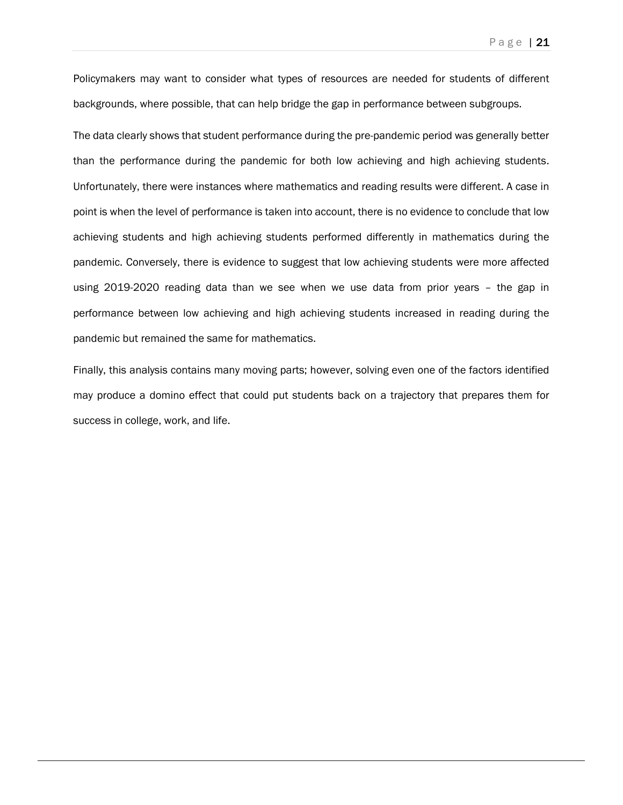Policymakers may want to consider what types of resources are needed for students of different backgrounds, where possible, that can help bridge the gap in performance between subgroups.

The data clearly shows that student performance during the pre-pandemic period was generally better than the performance during the pandemic for both low achieving and high achieving students. Unfortunately, there were instances where mathematics and reading results were different. A case in point is when the level of performance is taken into account, there is no evidence to conclude that low achieving students and high achieving students performed differently in mathematics during the pandemic. Conversely, there is evidence to suggest that low achieving students were more affected using 2019-2020 reading data than we see when we use data from prior years – the gap in performance between low achieving and high achieving students increased in reading during the pandemic but remained the same for mathematics.

Finally, this analysis contains many moving parts; however, solving even one of the factors identified may produce a domino effect that could put students back on a trajectory that prepares them for success in college, work, and life.